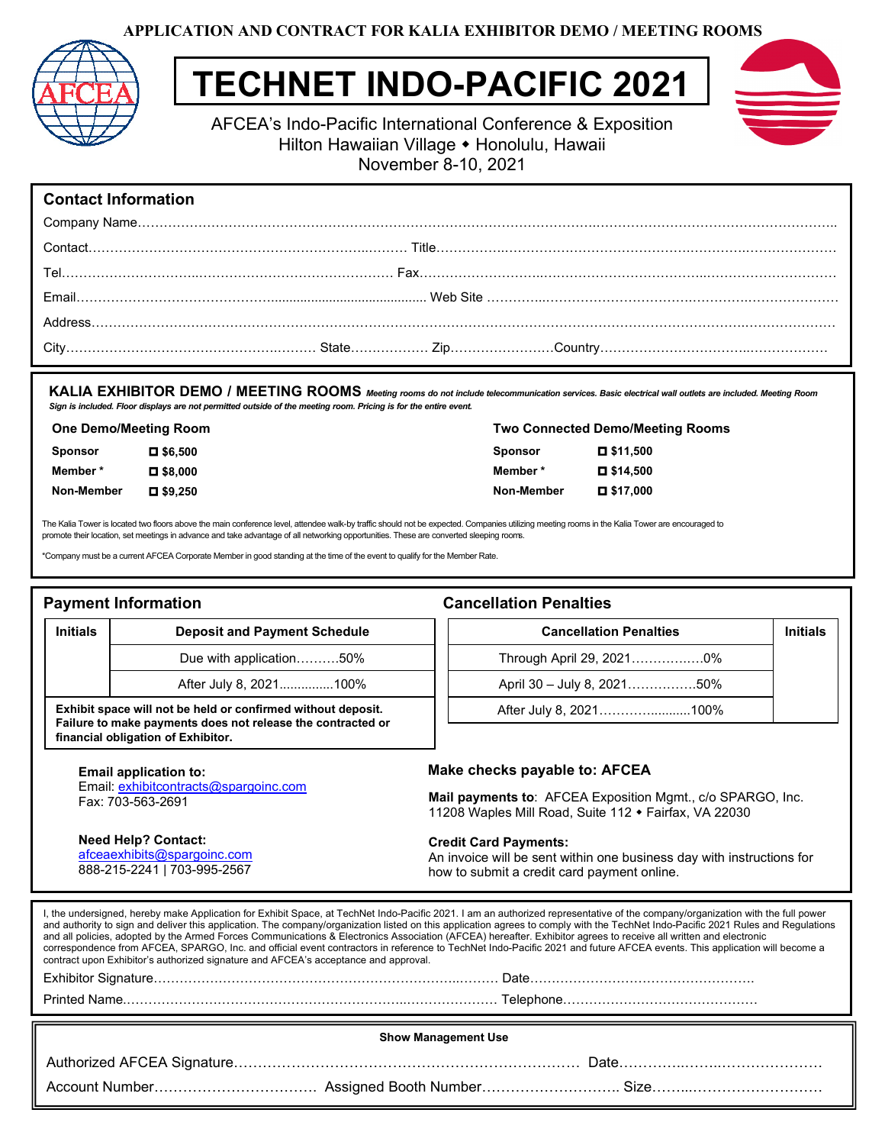**APPLICATION AND CONTRACT FOR KALIA EXHIBITOR DEMO / MEETING ROOMS**



# **TECHNET INDO-PACIFIC 2021**



AFCEA's Indo-Pacific International Conference & Exposition Hilton Hawaiian Village • Honolulu, Hawaii November 8-10, 2021

## **Contact Information**

**KALIA EXHIBITOR DEMO / MEETING ROOMS** *Meeting rooms do not include telecommunication services. Basic electrical wall outlets are included. Meeting Room Sign is included. Floor displays are not permitted outside of the meeting room. Pricing is for the entire event.* 

| <b>One Demo/Meeting Room</b> |                        | <b>Two Connected Demo/Meeting Rooms</b> |                 |
|------------------------------|------------------------|-----------------------------------------|-----------------|
| <b>Sponsor</b>               | $\blacksquare$ \$6.500 | <b>Sponsor</b>                          | $\Box$ \$11.500 |
| Member*                      | $\blacksquare$ \$8.000 | Member*                                 | $\Box$ \$14.500 |
| Non-Member                   | $\Box$ \$9.250         | Non-Member                              | $\Box$ \$17.000 |

The Kalia Tower is located two floors above the main conference level, attendee walk-by traffic should not be expected. Companies utilizing meeting rooms in the Kalia Tower are encouraged to promote their location, set meetings in advance and take advantage of all networking opportunities. These are converted sleeping rooms.

Company must be a current AFCEA Corporate Member in good standing at the time of the event to qualify for the Member Rate.<br> **Payment Information**<br> **Cancellation Penalties**<br>
Due with application..........50%<br>
After July 8,

Due with application……….50% Due with application……….50% After July 8, 2021...............100% After July 8, 2021...............100%

**Exhibit space will not be held or confirmed without deposit. will Failure to make payments does not release the contracted or** 

Email: [exhibitcontracts@spargoinc.com](mailto:exhibitcontracts@spargoinc.com)

### **Payment Information Cancellation Penalties**

**financial obligation of Exhibitor.**

Fax: 703-563-2691

#### **Initials Deposit and Payment Schedule**

Through April 29, 2021………….….0% Through April 29, 2021………….….0%

April 30 – July 8, 2021…………….50% April 30 – July 8, 2021…………….50%

**Cancellation Penalties Initials Cancellation Penalties** 

After July 8, 2021…………...........100%

**Email application to: Make checks payable to: AFCEA**

**Mail payments to**: AFCEA Exposition Mgmt., c/o SPARGO, Inc. 11208 Waples Mill Road, Suite 112 • Fairfax, VA 22030

**Need Help? Contact:**  [afceaexhibits@spargoinc.com](mailto:afceaexhibits@spargoinc.com) 888-215-2241 | 703-995-2567

#### **Credit Card Payments:**

An invoice will be sent within one business day with instructions for how to submit a credit card payment online.

I, the undersigned, hereby make Application for Exhibit Space, at TechNet Indo-Pacific 2021. I am an authorized representative of the company/organization with the full power and authority to sign and deliver this application. The company/organization listed on this application agrees to comply with the TechNet Indo-Pacific 2021 Rules and Regulations and all policies, adopted by the Armed Forces Communications & Electronics Association (AFCEA) hereafter. Exhibitor agrees to receive all written and electronic correspondence from AFCEA, SPARGO, Inc. and official event contractors in reference to TechNet Indo-Pacific 2021 and future AFCEA events. This application will become a contract upon Exhibitor's authorized signature and AFCEA's acceptance and approval. Exhibitor Signature……………………………………………………………..……… Date……………………………………………. Printed Name.………………………………………………………..………………… Telephone……………………………………… 

| <b>Show Management Use</b> |  |  |  |  |
|----------------------------|--|--|--|--|
|                            |  |  |  |  |
|                            |  |  |  |  |